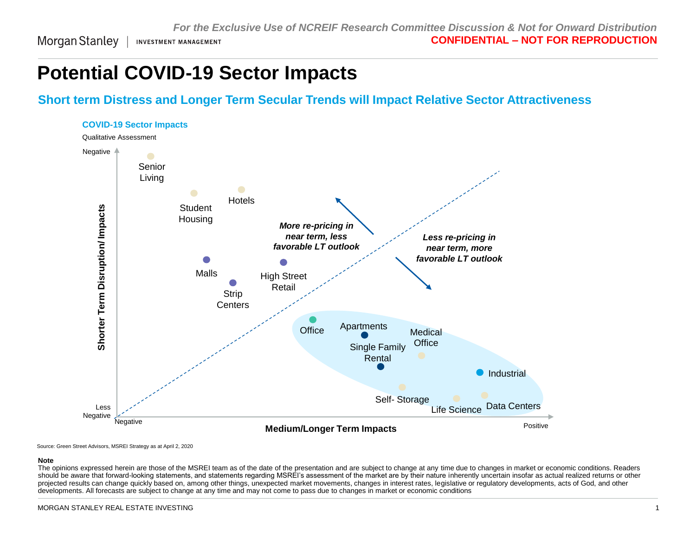Morgan Stanley **INVESTMENT MANAGEMENT** 

# **Potential COVID-19 Sector Impacts**

### **Short term Distress and Longer Term Secular Trends will Impact Relative Sector Attractiveness**



Source: Green Street Advisors, MSREI Strategy as at April 2, 2020

#### **Note**

The opinions expressed herein are those of the MSREI team as of the date of the presentation and are subject to change at any time due to changes in market or economic conditions. Readers should be aware that forward-looking statements, and statements regarding MSREI's assessment of the market are by their nature inherently uncertain insofar as actual realized returns or other projected results can change quickly based on, among other things, unexpected market movements, changes in interest rates, legislative or regulatory developments, acts of God, and other developments. All forecasts are subject to change at any time and may not come to pass due to changes in market or economic conditions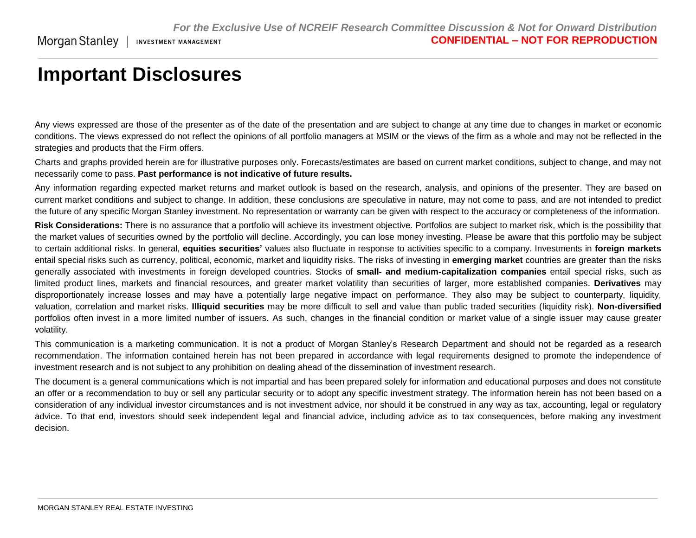## **Important Disclosures**

Morgan Stanley |

Any views expressed are those of the presenter as of the date of the presentation and are subject to change at any time due to changes in market or economic conditions. The views expressed do not reflect the opinions of all portfolio managers at MSIM or the views of the firm as a whole and may not be reflected in the strategies and products that the Firm offers.

Charts and graphs provided herein are for illustrative purposes only. Forecasts/estimates are based on current market conditions, subject to change, and may not necessarily come to pass. **Past performance is not indicative of future results.**

Any information regarding expected market returns and market outlook is based on the research, analysis, and opinions of the presenter. They are based on current market conditions and subject to change. In addition, these conclusions are speculative in nature, may not come to pass, and are not intended to predict the future of any specific Morgan Stanley investment. No representation or warranty can be given with respect to the accuracy or completeness of the information.

Risk Considerations: There is no assurance that a portfolio will achieve its investment objective. Portfolios are subject to market risk, which is the possibility that the market values of securities owned by the portfolio will decline. Accordingly, you can lose money investing. Please be aware that this portfolio may be subject to certain additional risks. In general, **equities securities'** values also fluctuate in response to activities specific to a company. Investments in **foreign markets** entail special risks such as currency, political, economic, market and liquidity risks. The risks of investing in **emerging market** countries are greater than the risks generally associated with investments in foreign developed countries. Stocks of **small- and medium-capitalization companies** entail special risks, such as limited product lines, markets and financial resources, and greater market volatility than securities of larger, more established companies. **Derivatives** may disproportionately increase losses and may have a potentially large negative impact on performance. They also may be subject to counterparty, liquidity, valuation, correlation and market risks. **Illiquid securities** may be more difficult to sell and value than public traded securities (liquidity risk). **Non-diversified** portfolios often invest in a more limited number of issuers. As such, changes in the financial condition or market value of a single issuer may cause greater volatility.

This communication is a marketing communication. It is not a product of Morgan Stanley's Research Department and should not be regarded as a research recommendation. The information contained herein has not been prepared in accordance with legal requirements designed to promote the independence of investment research and is not subject to any prohibition on dealing ahead of the dissemination of investment research.

The document is a general communications which is not impartial and has been prepared solely for information and educational purposes and does not constitute an offer or a recommendation to buy or sell any particular security or to adopt any specific investment strategy. The information herein has not been based on a consideration of any individual investor circumstances and is not investment advice, nor should it be construed in any way as tax, accounting, legal or regulatory advice. To that end, investors should seek independent legal and financial advice, including advice as to tax consequences, before making any investment decision.